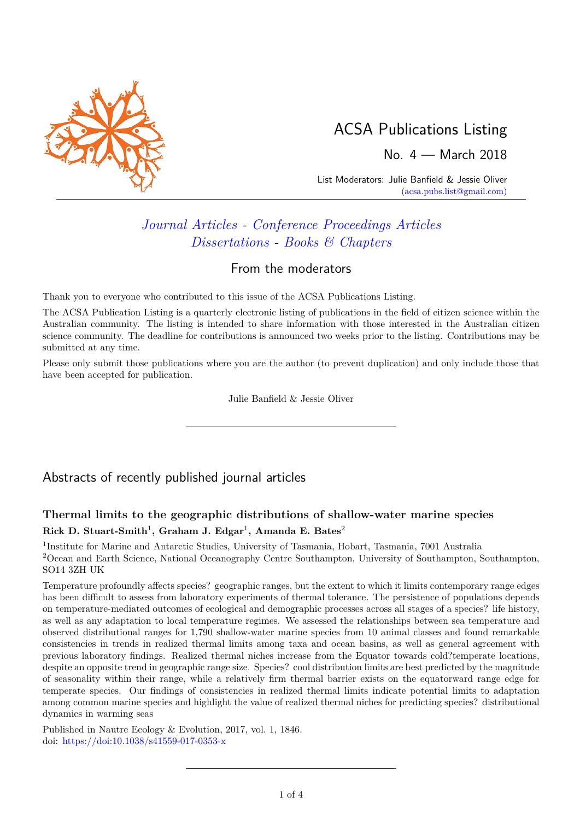

# ACSA Publications Listing

No. 4 — March 2018

List Moderators: Julie Banfield & Jessie Oliver [\(acsa.pubs.list@gmail.com\)](mailto:acsa.pubs.list@gmail.com)

# *[Journal Articles](#page-0-0) - [Conference Proceedings Articles](#page-3-0) [Dissertations](#page-3-1) - [Books & Chapters](#page-2-0)*

### From the moderators

Thank you to everyone who contributed to this issue of the ACSA Publications Listing.

The ACSA Publication Listing is a quarterly electronic listing of publications in the field of citizen science within the Australian community. The listing is intended to share information with those interested in the Australian citizen science community. The deadline for contributions is announced two weeks prior to the listing. Contributions may be submitted at any time.

Please only submit those publications where you are the author (to prevent duplication) and only include those that have been accepted for publication.

Julie Banfield & Jessie Oliver

## <span id="page-0-0"></span>Abstracts of recently published journal articles

### **Thermal limits to the geographic distributions of shallow-water marine species**  $Rick$   $D.$  Stuart-Smith<sup>1</sup>, Graham J. Edgar<sup>1</sup>, Amanda E. Bates<sup>2</sup>

<sup>1</sup>Institute for Marine and Antarctic Studies, University of Tasmania, Hobart, Tasmania, 7001 Australia <sup>2</sup>Ocean and Earth Science, National Oceanography Centre Southampton, University of Southampton, Southampton, SO14 3ZH UK

Temperature profoundly affects species? geographic ranges, but the extent to which it limits contemporary range edges has been difficult to assess from laboratory experiments of thermal tolerance. The persistence of populations depends on temperature-mediated outcomes of ecological and demographic processes across all stages of a species? life history, as well as any adaptation to local temperature regimes. We assessed the relationships between sea temperature and observed distributional ranges for 1,790 shallow-water marine species from 10 animal classes and found remarkable consistencies in trends in realized thermal limits among taxa and ocean basins, as well as general agreement with previous laboratory findings. Realized thermal niches increase from the Equator towards cold?temperate locations, despite an opposite trend in geographic range size. Species? cool distribution limits are best predicted by the magnitude of seasonality within their range, while a relatively firm thermal barrier exists on the equatorward range edge for temperate species. Our findings of consistencies in realized thermal limits indicate potential limits to adaptation among common marine species and highlight the value of realized thermal niches for predicting species? distributional dynamics in warming seas

Published in Nautre Ecology & Evolution, 2017, vol. 1, 1846. doi: [https://doi:10.1038/s41559-017-0353-x](https://www.nature.com/articles/s41559-017-0353-x)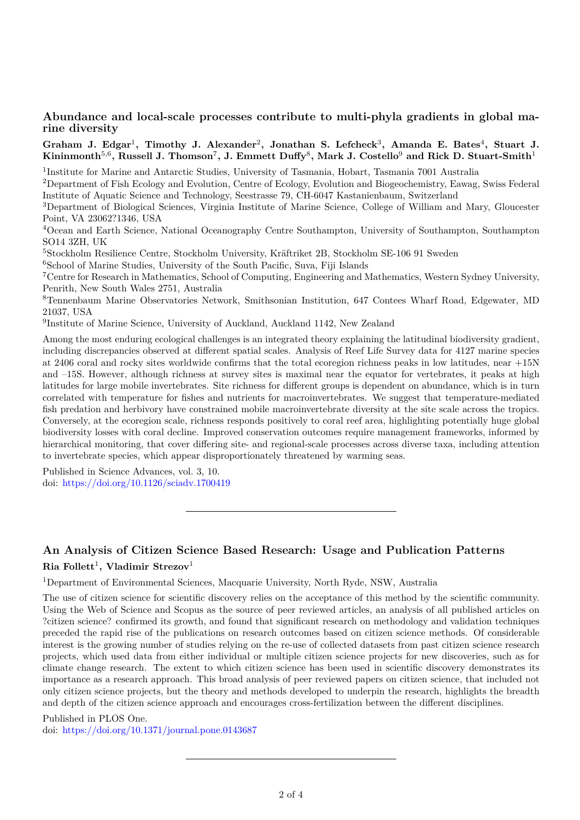#### **Abundance and local-scale processes contribute to multi-phyla gradients in global marine diversity**

#### Graham J. Edgar<sup>1</sup>, Timothy J. Alexander<sup>2</sup>, Jonathan S. Lefcheck<sup>3</sup>, Amanda E. Bates<sup>4</sup>, Stuart J.  $\mathbf{Kinimmonth}^{5,6}, \text{Russell J. Thomson}^{7}, \text{J. Emmett Duffy}^{8}, \text{Mark J. Costello}^{9} \text{ and Rick D. Stuart-Smith}^{1}$

<sup>1</sup>Institute for Marine and Antarctic Studies, University of Tasmania, Hobart, Tasmania 7001 Australia

<sup>2</sup>Department of Fish Ecology and Evolution, Centre of Ecology, Evolution and Biogeochemistry, Eawag, Swiss Federal Institute of Aquatic Science and Technology, Seestrasse 79, CH-6047 Kastanienbaum, Switzerland

<sup>3</sup>Department of Biological Sciences, Virginia Institute of Marine Science, College of William and Mary, Gloucester Point, VA 23062?1346, USA

<sup>4</sup>Ocean and Earth Science, National Oceanography Centre Southampton, University of Southampton, Southampton SO14 3ZH, UK

<sup>5</sup>Stockholm Resilience Centre, Stockholm University, Kräftriket 2B, Stockholm SE-106 91 Sweden

<sup>6</sup>School of Marine Studies, University of the South Pacific, Suva, Fiji Islands

<sup>7</sup>Centre for Research in Mathematics, School of Computing, Engineering and Mathematics, Western Sydney University, Penrith, New South Wales 2751, Australia

<sup>8</sup>Tennenbaum Marine Observatories Network, Smithsonian Institution, 647 Contees Wharf Road, Edgewater, MD 21037, USA

<sup>9</sup>Institute of Marine Science, University of Auckland, Auckland 1142, New Zealand

Among the most enduring ecological challenges is an integrated theory explaining the latitudinal biodiversity gradient, including discrepancies observed at different spatial scales. Analysis of Reef Life Survey data for 4127 marine species at 2406 coral and rocky sites worldwide confirms that the total ecoregion richness peaks in low latitudes, near +15N and –15S. However, although richness at survey sites is maximal near the equator for vertebrates, it peaks at high latitudes for large mobile invertebrates. Site richness for different groups is dependent on abundance, which is in turn correlated with temperature for fishes and nutrients for macroinvertebrates. We suggest that temperature-mediated fish predation and herbivory have constrained mobile macroinvertebrate diversity at the site scale across the tropics. Conversely, at the ecoregion scale, richness responds positively to coral reef area, highlighting potentially huge global biodiversity losses with coral decline. Improved conservation outcomes require management frameworks, informed by hierarchical monitoring, that cover differing site- and regional-scale processes across diverse taxa, including attention to invertebrate species, which appear disproportionately threatened by warming seas.

Published in Science Advances, vol. 3, 10. doi: <https://doi.org/10.1126/sciadv.1700419>

### **An Analysis of Citizen Science Based Research: Usage and Publication Patterns Ria Follett**<sup>1</sup> **, Vladimir Strezov**<sup>1</sup>

<sup>1</sup>Department of Environmental Sciences, Macquarie University, North Ryde, NSW, Australia

The use of citizen science for scientific discovery relies on the acceptance of this method by the scientific community. Using the Web of Science and Scopus as the source of peer reviewed articles, an analysis of all published articles on ?citizen science? confirmed its growth, and found that significant research on methodology and validation techniques preceded the rapid rise of the publications on research outcomes based on citizen science methods. Of considerable interest is the growing number of studies relying on the re-use of collected datasets from past citizen science research projects, which used data from either individual or multiple citizen science projects for new discoveries, such as for climate change research. The extent to which citizen science has been used in scientific discovery demonstrates its importance as a research approach. This broad analysis of peer reviewed papers on citizen science, that included not only citizen science projects, but the theory and methods developed to underpin the research, highlights the breadth and depth of the citizen science approach and encourages cross-fertilization between the different disciplines.

Published in PLOS One. doi: <https://doi.org/10.1371/journal.pone.0143687>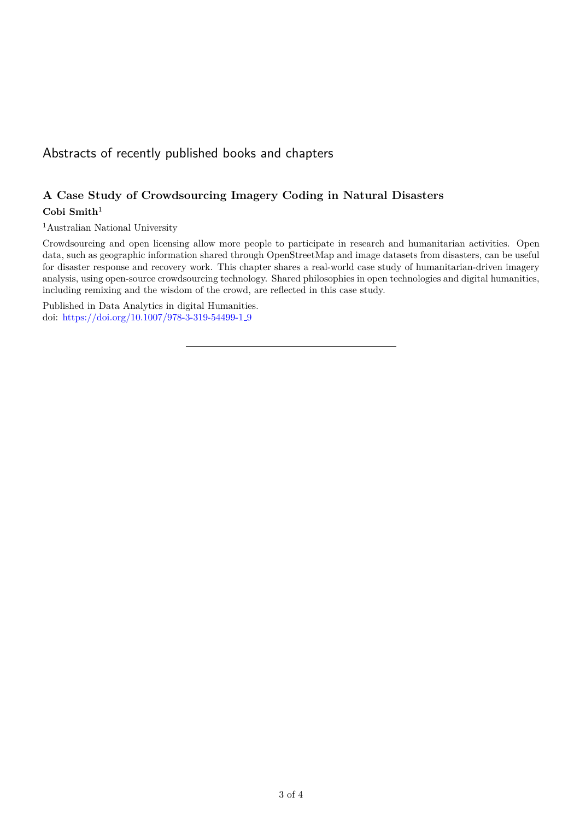# <span id="page-2-0"></span>Abstracts of recently published books and chapters

### **A Case Study of Crowdsourcing Imagery Coding in Natural Disasters**

#### **Cobi Smith**<sup>1</sup>

<sup>1</sup>Australian National University

Crowdsourcing and open licensing allow more people to participate in research and humanitarian activities. Open data, such as geographic information shared through OpenStreetMap and image datasets from disasters, can be useful for disaster response and recovery work. This chapter shares a real-world case study of humanitarian-driven imagery analysis, using open-source crowdsourcing technology. Shared philosophies in open technologies and digital humanities, including remixing and the wisdom of the crowd, are reflected in this case study.

Published in Data Analytics in digital Humanities. doi: [https://doi.org/10.1007/978-3-319-54499-1](https://doi.org/10.1007/978-3-319-54499-1_9) 9